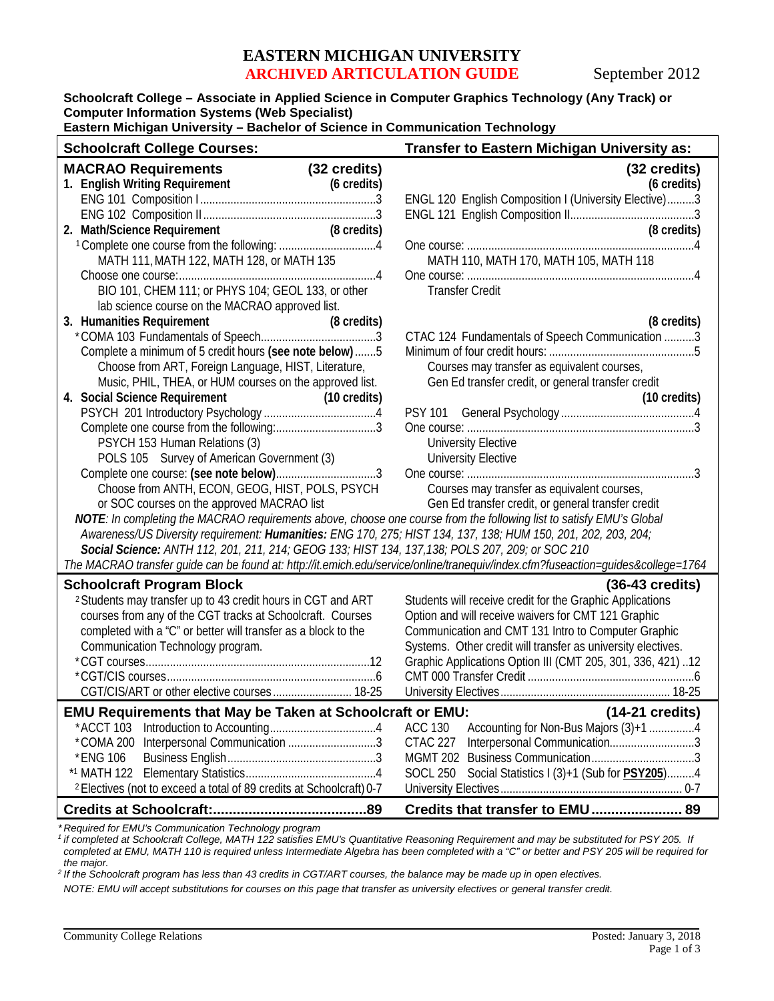## **EASTERN MICHIGAN UNIVERSITY ARCHIVED ARTICULATION GUIDE** September 2012

**Schoolcraft College – Associate in Applied Science in Computer Graphics Technology (Any Track) or Computer Information Systems (Web Specialist)**

**Eastern Michigan University – Bachelor of Science in Communication Technology**

| <b>Schoolcraft College Courses:</b>                                                                                                                                                                                                                                                                                                                                                                                                                                                                                                                                                                                                | Transfer to Eastern Michigan University as:                                                                                                                                                                                                                                                                                                                    |
|------------------------------------------------------------------------------------------------------------------------------------------------------------------------------------------------------------------------------------------------------------------------------------------------------------------------------------------------------------------------------------------------------------------------------------------------------------------------------------------------------------------------------------------------------------------------------------------------------------------------------------|----------------------------------------------------------------------------------------------------------------------------------------------------------------------------------------------------------------------------------------------------------------------------------------------------------------------------------------------------------------|
| <b>MACRAO Requirements</b><br>(32 credits)<br>1. English Writing Requirement<br>(6 credits)<br>2. Math/Science Requirement<br>(8 credits)<br>MATH 111, MATH 122, MATH 128, or MATH 135<br>BIO 101, CHEM 111; or PHYS 104; GEOL 133, or other                                                                                                                                                                                                                                                                                                                                                                                       | (32 credits)<br>(6 credits)<br>ENGL 120 English Composition I (University Elective)3<br>(8 credits)<br>MATH 110, MATH 170, MATH 105, MATH 118<br><b>Transfer Credit</b>                                                                                                                                                                                        |
| lab science course on the MACRAO approved list.<br>3. Humanities Requirement<br>(8 credits)<br>Complete a minimum of 5 credit hours (see note below) 5<br>Choose from ART, Foreign Language, HIST, Literature,<br>Music, PHIL, THEA, or HUM courses on the approved list.<br>4. Social Science Requirement<br>(10 credits)<br>PSYCH 153 Human Relations (3)<br>POLS 105 Survey of American Government (3)<br>Choose from ANTH, ECON, GEOG, HIST, POLS, PSYCH<br>or SOC courses on the approved MACRAO list<br>NOTE: In completing the MACRAO requirements above, choose one course from the following list to satisfy EMU's Global | (8 credits)<br>CTAC 124 Fundamentals of Speech Communication 3<br>Courses may transfer as equivalent courses,<br>Gen Ed transfer credit, or general transfer credit<br>$(10 \text{ credits})$<br><b>University Elective</b><br><b>University Elective</b><br>Courses may transfer as equivalent courses,<br>Gen Ed transfer credit, or general transfer credit |
| Awareness/US Diversity requirement: Humanities: ENG 170, 275; HIST 134, 137, 138; HUM 150, 201, 202, 203, 204;<br>Social Science: ANTH 112, 201, 211, 214; GEOG 133; HIST 134, 137, 138; POLS 207, 209; or SOC 210<br>The MACRAO transfer guide can be found at: http://it.emich.edu/service/online/tranequiv/index.cfm?fuseaction=guides&college=1764                                                                                                                                                                                                                                                                             |                                                                                                                                                                                                                                                                                                                                                                |
| <b>Schoolcraft Program Block</b><br><sup>2</sup> Students may transfer up to 43 credit hours in CGT and ART<br>courses from any of the CGT tracks at Schoolcraft. Courses<br>completed with a "C" or better will transfer as a block to the<br>Communication Technology program.<br>CGT/CIS/ART or other elective courses 18-25                                                                                                                                                                                                                                                                                                    | $(36-43 \text{ credits})$<br>Students will receive credit for the Graphic Applications<br>Option and will receive waivers for CMT 121 Graphic<br>Communication and CMT 131 Intro to Computer Graphic<br>Systems. Other credit will transfer as university electives.<br>Graphic Applications Option III (CMT 205, 301, 336, 421)12                             |
| <b>EMU Requirements that May be Taken at Schoolcraft or EMU:</b><br>*ACCT 103<br>Interpersonal Communication 3<br>*COMA 200<br>*ENG 106<br><sup>2</sup> Electives (not to exceed a total of 89 credits at Schoolcraft) 0-7                                                                                                                                                                                                                                                                                                                                                                                                         | $(14-21 \text{ credits})$<br>Accounting for Non-Bus Majors (3)+1 4<br><b>ACC 130</b><br>Interpersonal Communication3<br><b>CTAC 227</b><br><b>MGMT 202</b><br>Social Statistics I (3)+1 (Sub for PSY205)4<br><b>SOCL 250</b>                                                                                                                                   |
|                                                                                                                                                                                                                                                                                                                                                                                                                                                                                                                                                                                                                                    | Credits that transfer to EMU 89                                                                                                                                                                                                                                                                                                                                |

*\* Required for EMU's Communication Technology program*

*<sup>1</sup> if completed at Schoolcraft College, MATH 122 satisfies EMU's Quantitative Reasoning Requirement and may be substituted for PSY 205. If completed at EMU, MATH 110 is required unless Intermediate Algebra has been completed with a "C" or better and PSY 205 will be required for the major.*

*<sup>2</sup> If the Schoolcraft program has less than 43 credits in CGT/ART courses, the balance may be made up in open electives.*

*NOTE: EMU will accept substitutions for courses on this page that transfer as university electives or general transfer credit.*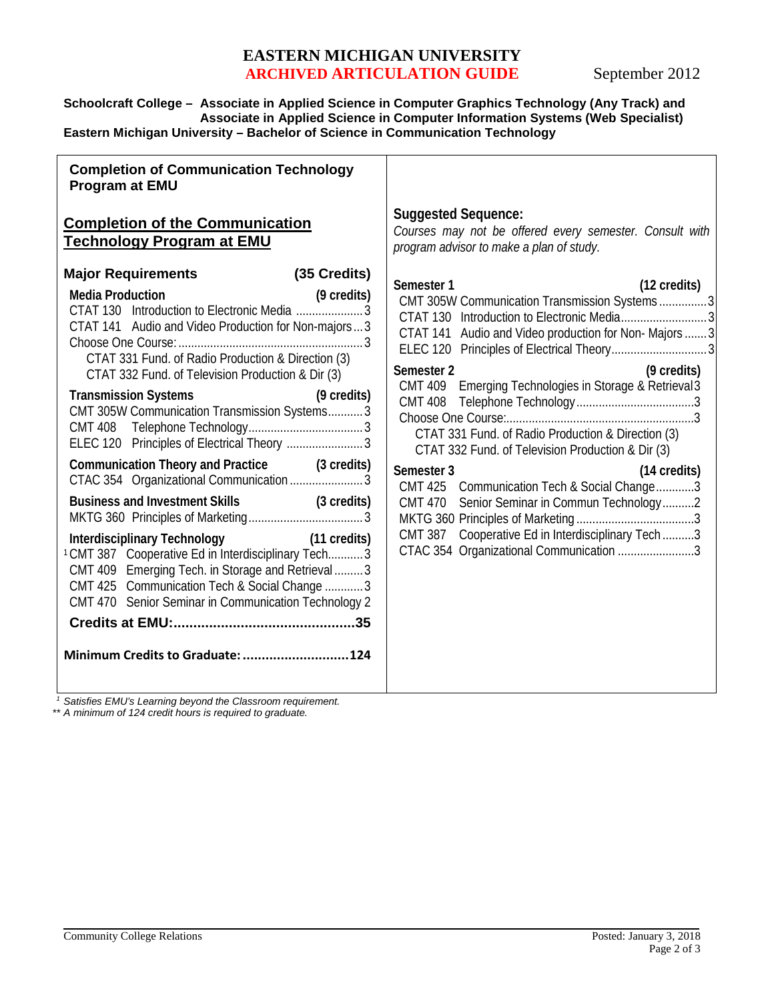## **EASTERN MICHIGAN UNIVERSITY ARCHIVED ARTICULATION GUIDE** September 2012

**Schoolcraft College – Associate in Applied Science in Computer Graphics Technology (Any Track) and Associate in Applied Science in Computer Information Systems (Web Specialist) Eastern Michigan University – Bachelor of Science in Communication Technology**

| <b>Suggested Sequence:</b><br>Courses may not be offered every semester. Consult with<br>program advisor to make a plan of study.                                                                                                                                                                                                                                                                                                                                                                                         |
|---------------------------------------------------------------------------------------------------------------------------------------------------------------------------------------------------------------------------------------------------------------------------------------------------------------------------------------------------------------------------------------------------------------------------------------------------------------------------------------------------------------------------|
|                                                                                                                                                                                                                                                                                                                                                                                                                                                                                                                           |
| (12 credits)<br>CMT 305W Communication Transmission Systems3<br>CTAT 141 Audio and Video production for Non-Majors  3<br>(9 credits)<br>CMT 409 Emerging Technologies in Storage & Retrieval 3<br>CTAT 331 Fund. of Radio Production & Direction (3)<br>CTAT 332 Fund. of Television Production & Dir (3)<br>(14 credits)<br>CMT 425 Communication Tech & Social Change3<br>CMT 470 Senior Seminar in Commun Technology2<br>CMT 387 Cooperative Ed in Interdisciplinary Tech 3<br>CTAC 354 Organizational Communication 3 |
|                                                                                                                                                                                                                                                                                                                                                                                                                                                                                                                           |

*<sup>1</sup> Satisfies EMU's Learning beyond the Classroom requirement.*

*\*\* A minimum of 124 credit hours is required to graduate.*